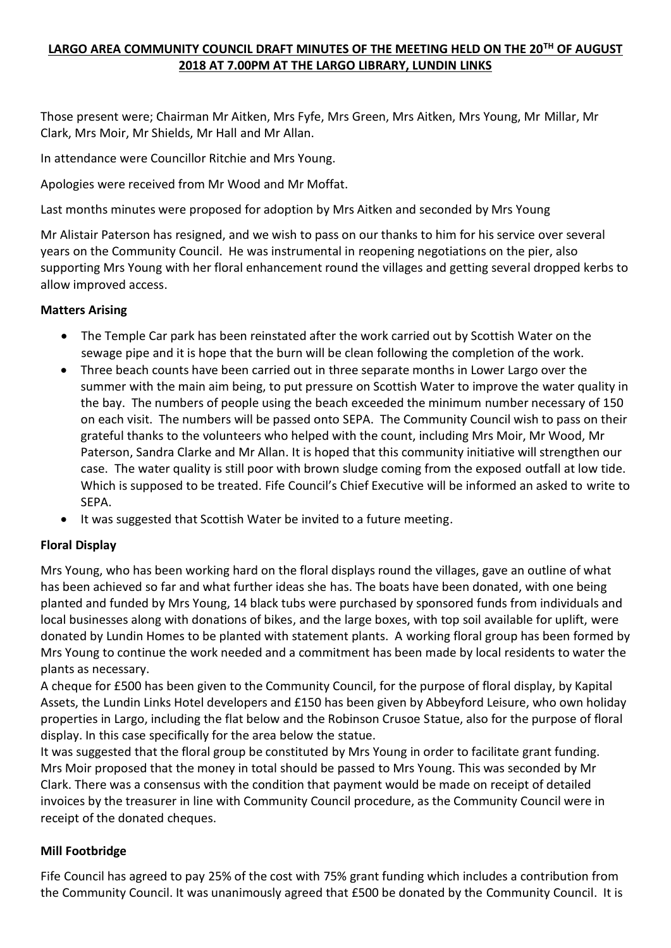# **LARGO AREA COMMUNITY COUNCIL DRAFT MINUTES OF THE MEETING HELD ON THE 20TH OF AUGUST 2018 AT 7.00PM AT THE LARGO LIBRARY, LUNDIN LINKS**

Those present were; Chairman Mr Aitken, Mrs Fyfe, Mrs Green, Mrs Aitken, Mrs Young, Mr Millar, Mr Clark, Mrs Moir, Mr Shields, Mr Hall and Mr Allan.

In attendance were Councillor Ritchie and Mrs Young.

Apologies were received from Mr Wood and Mr Moffat.

Last months minutes were proposed for adoption by Mrs Aitken and seconded by Mrs Young

Mr Alistair Paterson has resigned, and we wish to pass on our thanks to him for his service over several years on the Community Council. He was instrumental in reopening negotiations on the pier, also supporting Mrs Young with her floral enhancement round the villages and getting several dropped kerbs to allow improved access.

#### **Matters Arising**

- The Temple Car park has been reinstated after the work carried out by Scottish Water on the sewage pipe and it is hope that the burn will be clean following the completion of the work.
- Three beach counts have been carried out in three separate months in Lower Largo over the summer with the main aim being, to put pressure on Scottish Water to improve the water quality in the bay. The numbers of people using the beach exceeded the minimum number necessary of 150 on each visit. The numbers will be passed onto SEPA. The Community Council wish to pass on their grateful thanks to the volunteers who helped with the count, including Mrs Moir, Mr Wood, Mr Paterson, Sandra Clarke and Mr Allan. It is hoped that this community initiative will strengthen our case. The water quality is still poor with brown sludge coming from the exposed outfall at low tide. Which is supposed to be treated. Fife Council's Chief Executive will be informed an asked to write to SEPA.
- It was suggested that Scottish Water be invited to a future meeting.

### **Floral Display**

Mrs Young, who has been working hard on the floral displays round the villages, gave an outline of what has been achieved so far and what further ideas she has. The boats have been donated, with one being planted and funded by Mrs Young, 14 black tubs were purchased by sponsored funds from individuals and local businesses along with donations of bikes, and the large boxes, with top soil available for uplift, were donated by Lundin Homes to be planted with statement plants. A working floral group has been formed by Mrs Young to continue the work needed and a commitment has been made by local residents to water the plants as necessary.

A cheque for £500 has been given to the Community Council, for the purpose of floral display, by Kapital Assets, the Lundin Links Hotel developers and £150 has been given by Abbeyford Leisure, who own holiday properties in Largo, including the flat below and the Robinson Crusoe Statue, also for the purpose of floral display. In this case specifically for the area below the statue.

It was suggested that the floral group be constituted by Mrs Young in order to facilitate grant funding. Mrs Moir proposed that the money in total should be passed to Mrs Young. This was seconded by Mr Clark. There was a consensus with the condition that payment would be made on receipt of detailed invoices by the treasurer in line with Community Council procedure, as the Community Council were in receipt of the donated cheques.

#### **Mill Footbridge**

Fife Council has agreed to pay 25% of the cost with 75% grant funding which includes a contribution from the Community Council. It was unanimously agreed that £500 be donated by the Community Council. It is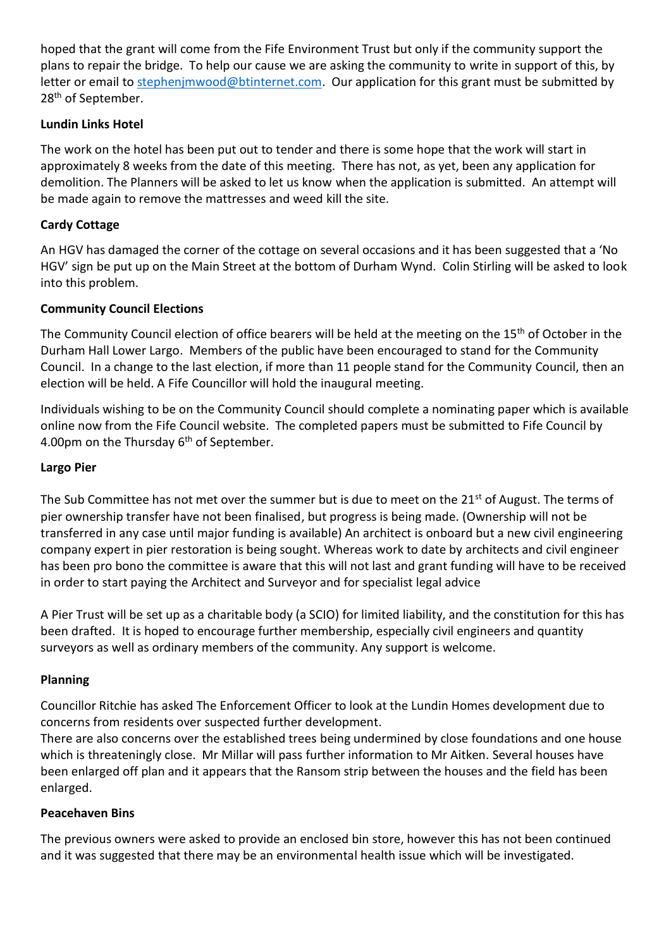hoped that the grant will come from the Fife Environment Trust but only if the community support the plans to repair the bridge. To help our cause we are asking the community to write in support of this, by letter or email to [stephenjmwood@btinternet.com.](mailto:stephenjmwood@btinternet.com) Our application for this grant must be submitted by 28<sup>th</sup> of September.

## **Lundin Links Hotel**

The work on the hotel has been put out to tender and there is some hope that the work will start in approximately 8 weeks from the date of this meeting. There has not, as yet, been any application for demolition. The Planners will be asked to let us know when the application is submitted. An attempt will be made again to remove the mattresses and weed kill the site.

## **Cardy Cottage**

An HGV has damaged the corner of the cottage on several occasions and it has been suggested that a 'No HGV' sign be put up on the Main Street at the bottom of Durham Wynd. Colin Stirling will be asked to look into this problem.

### **Community Council Elections**

The Community Council election of office bearers will be held at the meeting on the 15<sup>th</sup> of October in the Durham Hall Lower Largo. Members of the public have been encouraged to stand for the Community Council. In a change to the last election, if more than 11 people stand for the Community Council, then an election will be held. A Fife Councillor will hold the inaugural meeting.

Individuals wishing to be on the Community Council should complete a nominating paper which is available online now from the Fife Council website. The completed papers must be submitted to Fife Council by 4.00pm on the Thursday 6<sup>th</sup> of September.

#### **Largo Pier**

The Sub Committee has not met over the summer but is due to meet on the 21<sup>st</sup> of August. The terms of pier ownership transfer have not been finalised, but progress is being made. (Ownership will not be transferred in any case until major funding is available) An architect is onboard but a new civil engineering company expert in pier restoration is being sought. Whereas work to date by architects and civil engineer has been pro bono the committee is aware that this will not last and grant funding will have to be received in order to start paying the Architect and Surveyor and for specialist legal advice

A Pier Trust will be set up as a charitable body (a SCIO) for limited liability, and the constitution for this has been drafted. It is hoped to encourage further membership, especially civil engineers and quantity surveyors as well as ordinary members of the community. Any support is welcome.

### **Planning**

Councillor Ritchie has asked The Enforcement Officer to look at the Lundin Homes development due to concerns from residents over suspected further development.

There are also concerns over the established trees being undermined by close foundations and one house which is threateningly close. Mr Millar will pass further information to Mr Aitken. Several houses have been enlarged off plan and it appears that the Ransom strip between the houses and the field has been enlarged.

#### **Peacehaven Bins**

The previous owners were asked to provide an enclosed bin store, however this has not been continued and it was suggested that there may be an environmental health issue which will be investigated.